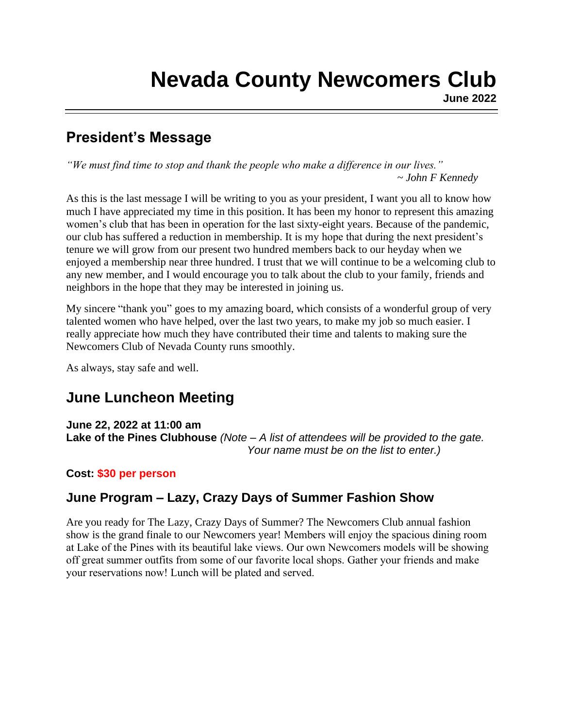### **President's Message**

*"We must find time to stop and thank the people who make a difference in our lives." ~ John F Kennedy*

As this is the last message I will be writing to you as your president, I want you all to know how much I have appreciated my time in this position. It has been my honor to represent this amazing women's club that has been in operation for the last sixty-eight years. Because of the pandemic, our club has suffered a reduction in membership. It is my hope that during the next president's tenure we will grow from our present two hundred members back to our heyday when we enjoyed a membership near three hundred. I trust that we will continue to be a welcoming club to any new member, and I would encourage you to talk about the club to your family, friends and neighbors in the hope that they may be interested in joining us.

My sincere "thank you" goes to my amazing board, which consists of a wonderful group of very talented women who have helped, over the last two years, to make my job so much easier. I really appreciate how much they have contributed their time and talents to making sure the Newcomers Club of Nevada County runs smoothly.

As always, stay safe and well.

# **June Luncheon Meeting**

**June 22, 2022 at 11:00 am**

**Lake of the Pines Clubhouse** *(Note – A list of attendees will be provided to the gate. Your name must be on the list to enter.)*

#### **Cost: \$30 per person**

### **June Program – Lazy, Crazy Days of Summer Fashion Show**

Are you ready for The Lazy, Crazy Days of Summer? The Newcomers Club annual fashion show is the grand finale to our Newcomers year! Members will enjoy the spacious dining room at Lake of the Pines with its beautiful lake views. Our own Newcomers models will be showing off great summer outfits from some of our favorite local shops. Gather your friends and make your reservations now! Lunch will be plated and served.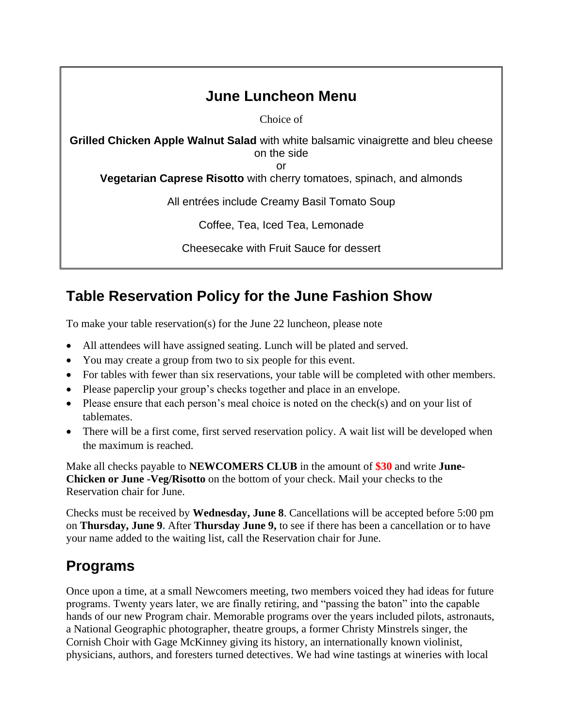# **June Luncheon Menu**

Choice of

**Grilled Chicken Apple Walnut Salad** with white balsamic vinaigrette and bleu cheese on the side

or

**Vegetarian Caprese Risotto** with cherry tomatoes, spinach, and almonds

All entrées include Creamy Basil Tomato Soup

Coffee, Tea, Iced Tea, Lemonade

Cheesecake with Fruit Sauce for dessert

# **Table Reservation Policy for the June Fashion Show**

To make your table reservation(s) for the June 22 luncheon, please note

- All attendees will have assigned seating. Lunch will be plated and served.
- You may create a group from two to six people for this event.
- For tables with fewer than six reservations, your table will be completed with other members.
- Please paperclip your group's checks together and place in an envelope.
- Please ensure that each person's meal choice is noted on the check(s) and on your list of tablemates.
- There will be a first come, first served reservation policy. A wait list will be developed when the maximum is reached.

Make all checks payable to **NEWCOMERS CLUB** in the amount of **\$30** and write **June-Chicken or June -Veg/Risotto** on the bottom of your check. Mail your checks to the Reservation chair for June.

Checks must be received by **Wednesday, June 8**. Cancellations will be accepted before 5:00 pm on **Thursday, June 9.** After **Thursday June 9,** to see if there has been a cancellation or to have your name added to the waiting list, call the Reservation chair for June.

### **Programs**

Once upon a time, at a small Newcomers meeting, two members voiced they had ideas for future programs. Twenty years later, we are finally retiring, and "passing the baton" into the capable hands of our new Program chair. Memorable programs over the years included pilots, astronauts, a National Geographic photographer, theatre groups, a former Christy Minstrels singer, the Cornish Choir with Gage McKinney giving its history, an internationally known violinist, physicians, authors, and foresters turned detectives. We had wine tastings at wineries with local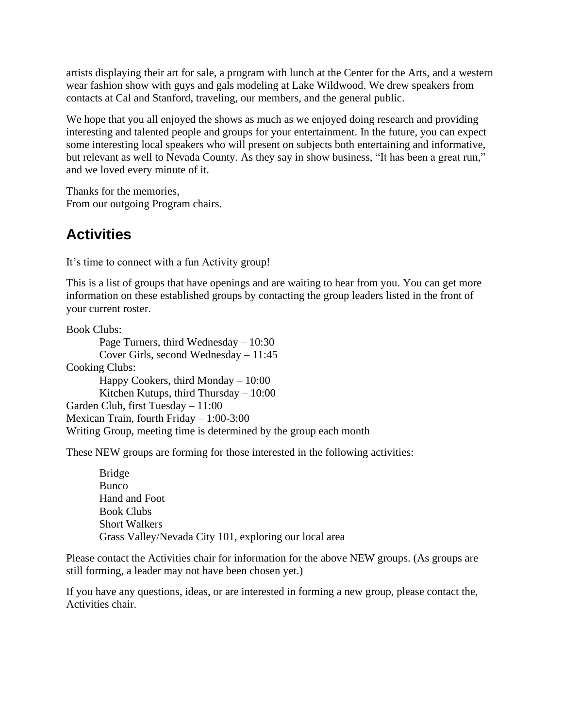artists displaying their art for sale, a program with lunch at the Center for the Arts, and a western wear fashion show with guys and gals modeling at Lake Wildwood. We drew speakers from contacts at Cal and Stanford, traveling, our members, and the general public.

We hope that you all enjoyed the shows as much as we enjoyed doing research and providing interesting and talented people and groups for your entertainment. In the future, you can expect some interesting local speakers who will present on subjects both entertaining and informative, but relevant as well to Nevada County. As they say in show business, "It has been a great run," and we loved every minute of it.

Thanks for the memories, From our outgoing Program chairs.

### **Activities**

It's time to connect with a fun Activity group!

This is a list of groups that have openings and are waiting to hear from you. You can get more information on these established groups by contacting the group leaders listed in the front of your current roster.

Book Clubs:

Page Turners, third Wednesday – 10:30 Cover Girls, second Wednesday – 11:45 Cooking Clubs: Happy Cookers, third Monday – 10:00 Kitchen Kutups, third Thursday – 10:00 Garden Club, first Tuesday – 11:00 Mexican Train, fourth Friday – 1:00-3:00 Writing Group, meeting time is determined by the group each month

These NEW groups are forming for those interested in the following activities:

Bridge **Bunco** Hand and Foot Book Clubs Short Walkers Grass Valley/Nevada City 101, exploring our local area

Please contact the Activities chair for information for the above NEW groups. (As groups are still forming, a leader may not have been chosen yet.)

If you have any questions, ideas, or are interested in forming a new group, please contact the, Activities chair.